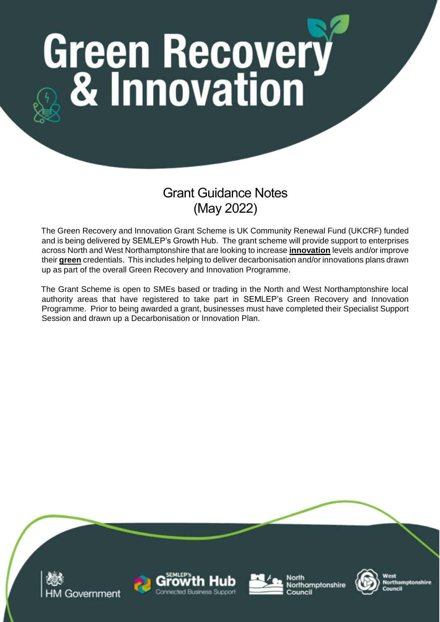# **Green Recovery**<br>8 **& Innovation**

# Grant Guidance Notes (May 2022)

The Green Recovery and Innovation Grant Scheme is UK Community Renewal Fund (UKCRF) funded and is being delivered by SEMLEP's Growth Hub. The grant scheme will provide support to enterprises across North and West Northamptonshire that are looking to increase **innovation** levels and/or improve their **green** credentials. This includes helping to deliver decarbonisation and/or innovations plans drawn up as part of the overall Green Recovery and Innovation Programme.

The Grant Scheme is open to SMEs based or trading in the North and West Northamptonshire local authority areas that have registered to take part in SEMLEP's Green Recovery and Innovation Programme. Prior to being awarded a grant, businesses must have completed their Specialist Support Session and drawn up a Decarbonisation or Innovation Plan.

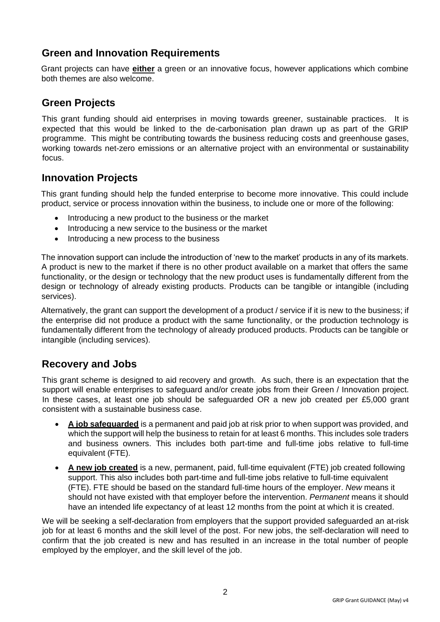# **Green and Innovation Requirements**

Grant projects can have **either** a green or an innovative focus, however applications which combine both themes are also welcome.

### **Green Projects**

This grant funding should aid enterprises in moving towards greener, sustainable practices. It is expected that this would be linked to the de-carbonisation plan drawn up as part of the GRIP programme. This might be contributing towards the business reducing costs and greenhouse gases, working towards net-zero emissions or an alternative project with an environmental or sustainability focus.

# **Innovation Projects**

This grant funding should help the funded enterprise to become more innovative. This could include product, service or process innovation within the business, to include one or more of the following:

- Introducing a new product to the business or the market
- Introducing a new service to the business or the market
- Introducing a new process to the business

The innovation support can include the introduction of 'new to the market' products in any of its markets. A product is new to the market if there is no other product available on a market that offers the same functionality, or the design or technology that the new product uses is fundamentally different from the design or technology of already existing products. Products can be tangible or intangible (including services).

Alternatively, the grant can support the development of a product / service if it is new to the business; if the enterprise did not produce a product with the same functionality, or the production technology is fundamentally different from the technology of already produced products. Products can be tangible or intangible (including services).

#### **Recovery and Jobs**

This grant scheme is designed to aid recovery and growth. As such, there is an expectation that the support will enable enterprises to safeguard and/or create jobs from their Green / Innovation project. In these cases, at least one job should be safeguarded OR a new job created per £5,000 grant consistent with a sustainable business case.

- **A job safeguarded** is a permanent and paid job at risk prior to when support was provided, and which the support will help the business to retain for at least 6 months. This includes sole traders and business owners. This includes both part-time and full-time jobs relative to full-time equivalent (FTE).
- **A new job created** is a new, permanent, paid, full-time equivalent (FTE) job created following support. This also includes both part-time and full-time jobs relative to full-time equivalent (FTE). FTE should be based on the standard full-time hours of the employer. *New* means it should not have existed with that employer before the intervention. *Permanent* means it should have an intended life expectancy of at least 12 months from the point at which it is created.

We will be seeking a self-declaration from employers that the support provided safeguarded an at-risk job for at least 6 months and the skill level of the post. For new jobs, the self-declaration will need to confirm that the job created is new and has resulted in an increase in the total number of people employed by the employer, and the skill level of the job.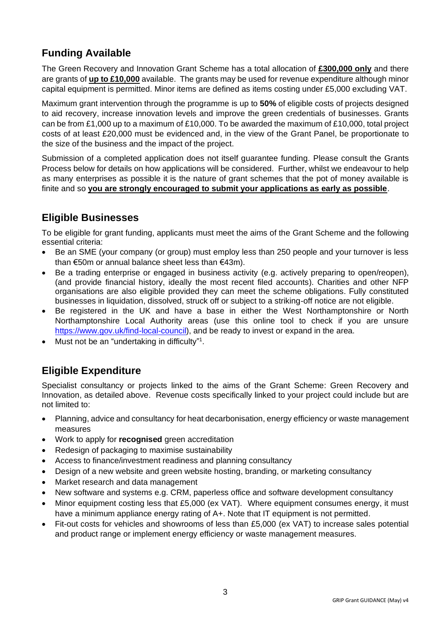# **Funding Available**

The Green Recovery and Innovation Grant Scheme has a total allocation of **£300,000 only** and there are grants of **up to £10,000** available. The grants may be used for revenue expenditure although minor capital equipment is permitted. Minor items are defined as items costing under £5,000 excluding VAT.

Maximum grant intervention through the programme is up to **50%** of eligible costs of projects designed to aid recovery, increase innovation levels and improve the green credentials of businesses. Grants can be from £1,000 up to a maximum of £10,000. To be awarded the maximum of £10,000, total project costs of at least £20,000 must be evidenced and, in the view of the Grant Panel, be proportionate to the size of the business and the impact of the project.

Submission of a completed application does not itself guarantee funding. Please consult the Grants Process below for details on how applications will be considered. Further, whilst we endeavour to help as many enterprises as possible it is the nature of grant schemes that the pot of money available is finite and so **you are strongly encouraged to submit your applications as early as possible**.

# **Eligible Businesses**

To be eligible for grant funding, applicants must meet the aims of the Grant Scheme and the following essential criteria:

- Be an SME (your company (or group) must employ less than 250 people and your turnover is less than €50m or annual balance sheet less than €43m).
- Be a trading enterprise or engaged in business activity (e.g. actively preparing to open/reopen), (and provide financial history, ideally the most recent filed accounts). Charities and other NFP organisations are also eligible provided they can meet the scheme obligations. Fully constituted businesses in liquidation, dissolved, struck off or subject to a striking-off notice are not eligible.
- Be registered in the UK and have a base in either the West Northamptonshire or North Northamptonshire Local Authority areas (use this online tool to check if you are unsure [https://www.gov.uk/find-local-council\)](https://www.gov.uk/find-local-council), and be ready to invest or expand in the area.
- Must not be an "undertaking in difficulty"<sup>1</sup>.

# **Eligible Expenditure**

Specialist consultancy or projects linked to the aims of the Grant Scheme: Green Recovery and Innovation, as detailed above. Revenue costs specifically linked to your project could include but are not limited to:

- Planning, advice and consultancy for heat decarbonisation, energy efficiency or waste management measures
- Work to apply for **recognised** green accreditation
- Redesign of packaging to maximise sustainability
- Access to finance/investment readiness and planning consultancy
- Design of a new website and green website hosting, branding, or marketing consultancy
- Market research and data management
- New software and systems e.g. CRM, paperless office and software development consultancy
- Minor equipment costing less that £5,000 (ex VAT). Where equipment consumes energy, it must have a minimum appliance energy rating of A+. Note that IT equipment is not permitted.
- Fit-out costs for vehicles and showrooms of less than £5,000 (ex VAT) to increase sales potential and product range or implement energy efficiency or waste management measures.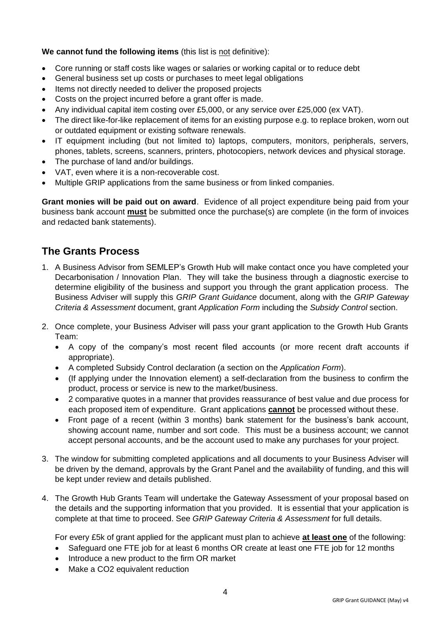#### **We cannot fund the following items** (this list is not definitive):

- Core running or staff costs like wages or salaries or working capital or to reduce debt
- General business set up costs or purchases to meet legal obligations
- Items not directly needed to deliver the proposed projects
- Costs on the project incurred before a grant offer is made.
- Any individual capital item costing over £5,000, or any service over £25,000 (ex VAT).
- The direct like-for-like replacement of items for an existing purpose e.g. to replace broken, worn out or outdated equipment or existing software renewals.
- IT equipment including (but not limited to) laptops, computers, monitors, peripherals, servers, phones, tablets, screens, scanners, printers, photocopiers, network devices and physical storage.
- The purchase of land and/or buildings.
- VAT, even where it is a non-recoverable cost.
- Multiple GRIP applications from the same business or from linked companies.

**Grant monies will be paid out on award**. Evidence of all project expenditure being paid from your business bank account **must** be submitted once the purchase(s) are complete (in the form of invoices and redacted bank statements).

# **The Grants Process**

- 1. A Business Advisor from SEMLEP's Growth Hub will make contact once you have completed your Decarbonisation / Innovation Plan. They will take the business through a diagnostic exercise to determine eligibility of the business and support you through the grant application process. The Business Adviser will supply this *GRIP Grant Guidance* document, along with the *GRIP Gateway Criteria & Assessment* document, grant *Application Form* including the *Subsidy Control* section.
- 2. Once complete, your Business Adviser will pass your grant application to the Growth Hub Grants Team:
	- A copy of the company's most recent filed accounts (or more recent draft accounts if appropriate).
	- A completed Subsidy Control declaration (a section on the *Application Form*).
	- (If applying under the Innovation element) a self-declaration from the business to confirm the product, process or service is new to the market/business.
	- 2 comparative quotes in a manner that provides reassurance of best value and due process for each proposed item of expenditure. Grant applications **cannot** be processed without these.
	- Front page of a recent (within 3 months) bank statement for the business's bank account, showing account name, number and sort code. This must be a business account; we cannot accept personal accounts, and be the account used to make any purchases for your project.
- 3. The window for submitting completed applications and all documents to your Business Adviser will be driven by the demand, approvals by the Grant Panel and the availability of funding, and this will be kept under review and details published.
- 4. The Growth Hub Grants Team will undertake the Gateway Assessment of your proposal based on the details and the supporting information that you provided. It is essential that your application is complete at that time to proceed. See *GRIP Gateway Criteria & Assessment* for full details.

For every £5k of grant applied for the applicant must plan to achieve **at least one** of the following:

- Safeguard one FTE job for at least 6 months OR create at least one FTE job for 12 months
- Introduce a new product to the firm OR market
- Make a CO2 equivalent reduction